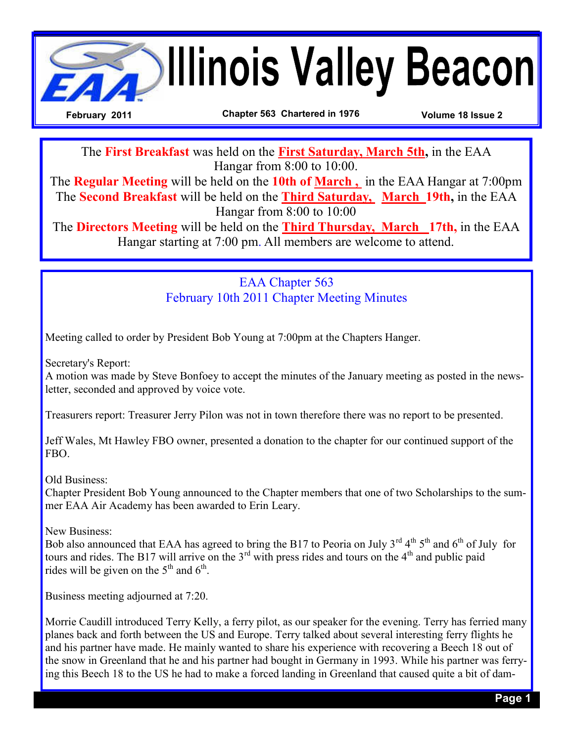

The **First Breakfast** was held on the **First Saturday, March 5th,** in the EAA Hangar from 8:00 to 10:00.

The **Regular Meeting** will be held on the **10th of March ,** in the EAA Hangar at 7:00pm The **Second Breakfast** will be held on the **Third Saturday, March 19th,** in the EAA Hangar from 8:00 to 10:00

The **Directors Meeting** will be held on the **Third Thursday, March 17th,** in the EAA Hangar starting at 7:00 pm. All members are welcome to attend.

> EAA Chapter 563 February 10th 2011 Chapter Meeting Minutes

Meeting called to order by President Bob Young at 7:00pm at the Chapters Hanger.

Secretary's Report:

A motion was made by Steve Bonfoey to accept the minutes of the January meeting as posted in the newsletter, seconded and approved by voice vote.

Treasurers report: Treasurer Jerry Pilon was not in town therefore there was no report to be presented.

Jeff Wales, Mt Hawley FBO owner, presented a donation to the chapter for our continued support of the FBO.

Old Business:

Chapter President Bob Young announced to the Chapter members that one of two Scholarships to the summer EAA Air Academy has been awarded to Erin Leary.

New Business:

Bob also announced that EAA has agreed to bring the B17 to Peoria on July  $3^{rd} 4^{th} 5^{th}$  and  $6^{th}$  of July for tours and rides. The B17 will arrive on the  $3<sup>rd</sup>$  with press rides and tours on the  $4<sup>th</sup>$  and public paid rides will be given on the  $5<sup>th</sup>$  and  $6<sup>th</sup>$ .

Business meeting adjourned at 7:20.

Morrie Caudill introduced Terry Kelly, a ferry pilot, as our speaker for the evening. Terry has ferried many planes back and forth between the US and Europe. Terry talked about several interesting ferry flights he and his partner have made. He mainly wanted to share his experience with recovering a Beech 18 out of the snow in Greenland that he and his partner had bought in Germany in 1993. While his partner was ferrying this Beech 18 to the US he had to make a forced landing in Greenland that caused quite a bit of dam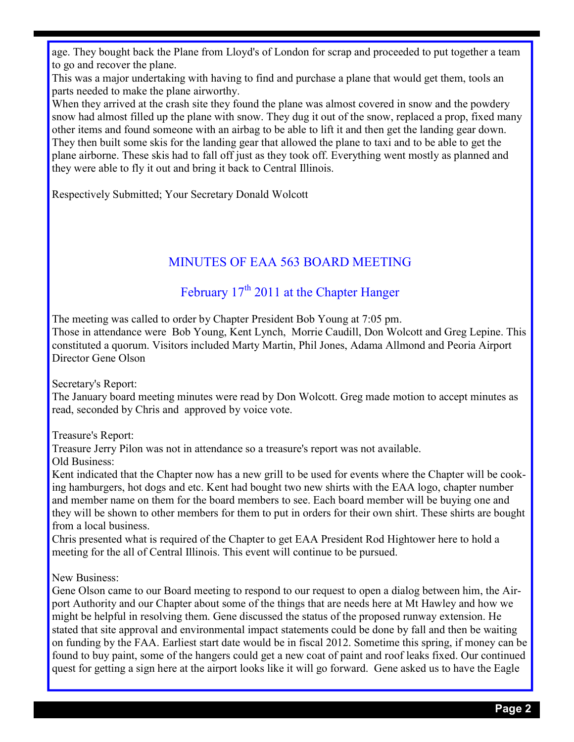age. They bought back the Plane from Lloyd's of London for scrap and proceeded to put together a team to go and recover the plane.

This was a major undertaking with having to find and purchase a plane that would get them, tools an parts needed to make the plane airworthy.

When they arrived at the crash site they found the plane was almost covered in snow and the powdery snow had almost filled up the plane with snow. They dug it out of the snow, replaced a prop, fixed many other items and found someone with an airbag to be able to lift it and then get the landing gear down. They then built some skis for the landing gear that allowed the plane to taxi and to be able to get the plane airborne. These skis had to fall off just as they took off. Everything went mostly as planned and they were able to fly it out and bring it back to Central Illinois.

Respectively Submitted; Your Secretary Donald Wolcott

## MINUTES OF EAA 563 BOARD MEETING

## February 17<sup>th</sup> 2011 at the Chapter Hanger

The meeting was called to order by Chapter President Bob Young at 7:05 pm.

Those in attendance were Bob Young, Kent Lynch, Morrie Caudill, Don Wolcott and Greg Lepine. This constituted a quorum. Visitors included Marty Martin, Phil Jones, Adama Allmond and Peoria Airport Director Gene Olson

Secretary's Report:

The January board meeting minutes were read by Don Wolcott. Greg made motion to accept minutes as read, seconded by Chris and approved by voice vote.

Treasure's Report:

Treasure Jerry Pilon was not in attendance so a treasure's report was not available.

Old Business:

Kent indicated that the Chapter now has a new grill to be used for events where the Chapter will be cooking hamburgers, hot dogs and etc. Kent had bought two new shirts with the EAA logo, chapter number and member name on them for the board members to see. Each board member will be buying one and they will be shown to other members for them to put in orders for their own shirt. These shirts are bought from a local business.

Chris presented what is required of the Chapter to get EAA President Rod Hightower here to hold a meeting for the all of Central Illinois. This event will continue to be pursued.

New Business:

Gene Olson came to our Board meeting to respond to our request to open a dialog between him, the Airport Authority and our Chapter about some of the things that are needs here at Mt Hawley and how we might be helpful in resolving them. Gene discussed the status of the proposed runway extension. He stated that site approval and environmental impact statements could be done by fall and then be waiting on funding by the FAA. Earliest start date would be in fiscal 2012. Sometime this spring, if money can be found to buy paint, some of the hangers could get a new coat of paint and roof leaks fixed. Our continued quest for getting a sign here at the airport looks like it will go forward. Gene asked us to have the Eagle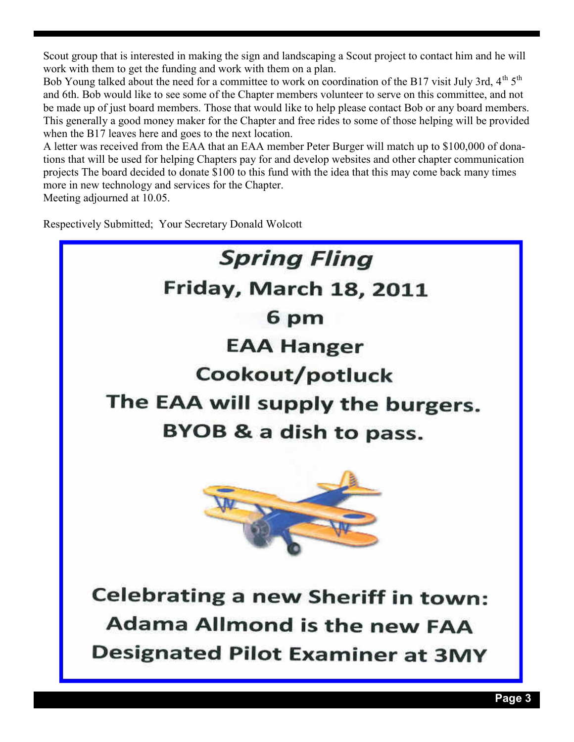Scout group that is interested in making the sign and landscaping a Scout project to contact him and he will work with them to get the funding and work with them on a plan.

Bob Young talked about the need for a committee to work on coordination of the B17 visit July 3rd,  $4<sup>th</sup> 5<sup>th</sup>$ and 6th. Bob would like to see some of the Chapter members volunteer to serve on this committee, and not be made up of just board members. Those that would like to help please contact Bob or any board members. This generally a good money maker for the Chapter and free rides to some of those helping will be provided when the B17 leaves here and goes to the next location.

A letter was received from the EAA that an EAA member Peter Burger will match up to \$100,000 of donations that will be used for helping Chapters pay for and develop websites and other chapter communication projects The board decided to donate \$100 to this fund with the idea that this may come back many times more in new technology and services for the Chapter.

Meeting adjourned at 10.05.

Respectively Submitted; Your Secretary Donald Wolcott

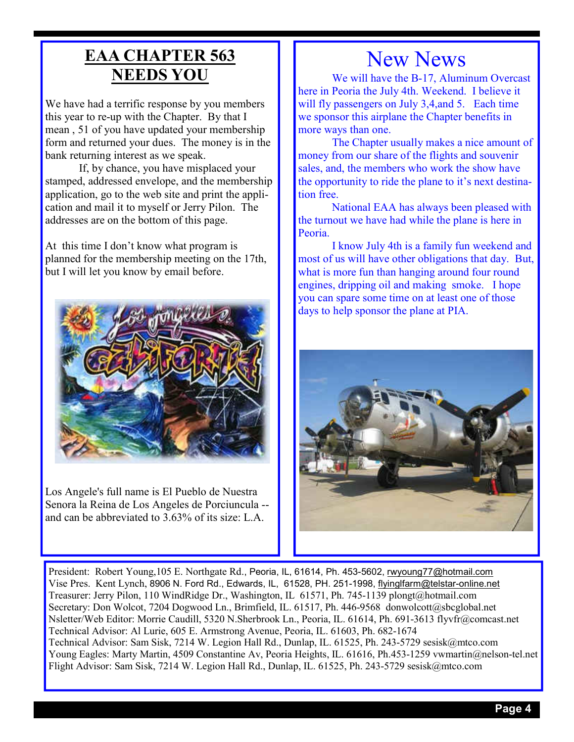## **EAA CHAPTER 563 NEEDS YOU**

We have had a terrific response by you members this year to re-up with the Chapter. By that I mean , 51 of you have updated your membership form and returned your dues. The money is in the bank returning interest as we speak.

 If, by chance, you have misplaced your stamped, addressed envelope, and the membership application, go to the web site and print the application and mail it to myself or Jerry Pilon. The addresses are on the bottom of this page.

At this time I don't know what program is planned for the membership meeting on the 17th, but I will let you know by email before.



Los Angele's full name is El Pueblo de Nuestra Senora la Reina de Los Angeles de Porciuncula - and can be abbreviated to 3.63% of its size: L.A.

## New News

 We will have the B-17, Aluminum Overcast here in Peoria the July 4th. Weekend. I believe it will fly passengers on July 3,4, and 5. Each time we sponsor this airplane the Chapter benefits in more ways than one.

 The Chapter usually makes a nice amount of money from our share of the flights and souvenir sales, and, the members who work the show have the opportunity to ride the plane to it's next destination free.

 National EAA has always been pleased with the turnout we have had while the plane is here in Peoria.

 I know July 4th is a family fun weekend and most of us will have other obligations that day. But, what is more fun than hanging around four round engines, dripping oil and making smoke. I hope you can spare some time on at least one of those days to help sponsor the plane at PIA.



President: Robert Young,105 E. Northgate Rd., Peoria, IL, 61614, Ph. 453-5602, rwyoung77@hotmail.com Vise Pres. Kent Lynch, 8906 N. Ford Rd., Edwards, IL, 61528, PH. 251-1998, flyinglfarm@telstar-online.net Treasurer: Jerry Pilon, 110 WindRidge Dr., Washington, IL 61571, Ph. 745-1139 plongt@hotmail.com Secretary: Don Wolcot, 7204 Dogwood Ln., Brimfield, IL. 61517, Ph. 446-9568 donwolcott@sbcglobal.net Nsletter/Web Editor: Morrie Caudill, 5320 N.Sherbrook Ln., Peoria, IL. 61614, Ph. 691-3613 flyvfr@comcast.net Technical Advisor: Al Lurie, 605 E. Armstrong Avenue, Peoria, IL. 61603, Ph. 682-1674 Technical Advisor: Sam Sisk, 7214 W. Legion Hall Rd., Dunlap, IL. 61525, Ph. 243-5729 sesisk@mtco.com Young Eagles: Marty Martin, 4509 Constantine Av, Peoria Heights, IL. 61616, Ph.453-1259 vwmartin@nelson-tel.net Flight Advisor: Sam Sisk, 7214 W. Legion Hall Rd., Dunlap, IL. 61525, Ph. 243-5729 sesisk@mtco.com